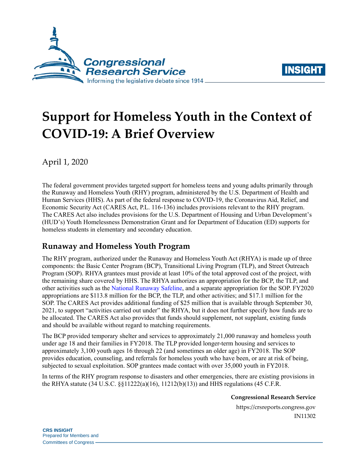



# **Support for Homeless Youth in the Context of COVID-19: A Brief Overview**

April 1, 2020

The federal government provides targeted support for homeless teens and young adults primarily through the Runaway and Homeless Youth (RHY) program, administered by the U.S. Department of Health and Human Services (HHS). As part of the federal response to COVID-19, the Coronavirus Aid, Relief, and Economic Security Act (CARES Act, [P.L. 116-136\)](http://www.congress.gov/cgi-lis/bdquery/R?d116:FLD002:@1(116+136)) includes provisions relevant to the RHY program. The CARES Act also includes provisions for the U.S. Department of Housing and Urban Development's (HUD's) Youth Homelessness Demonstration Grant and for Department of Education (ED) supports for homeless students in elementary and secondary education.

## **Runaway and Homeless Youth Program**

The RHY program, authorized under the Runaway and Homeless Youth Act (RHYA) is made up of three components: the Basic Center Program (BCP), Transitional Living Program (TLP), and Street Outreach Program (SOP). RHYA grantees must provide at least 10% of the total approved cost of the project, with the remaining share covered by HHS. The RHYA authorizes an appropriation for the BCP, the TLP, and other activities such as the [National Runaway Safeline,](https://www.1800runaway.org/) and a separate appropriation for the SOP. FY2020 appropriations are \$113.8 million for the BCP, the TLP, and other activities; and \$17.1 million for the SOP. The CARES Act provides additional funding of \$25 million that is available through September 30, 2021, to support "activities carried out under" the RHYA, but it does not further specify how funds are to be allocated. The CARES Act also provides that funds should supplement, not supplant, existing funds and should be available without regard to matching requirements.

The BCP provided temporary shelter and services to approximately 21,000 runaway and homeless youth under age 18 and their families in FY2018. The TLP provided longer-term housing and services to approximately 3,100 youth ages 16 through 22 (and sometimes an older age) in FY2018. The SOP provides education, counseling, and referrals for homeless youth who have been, or are at risk of being, subjected to sexual exploitation. SOP grantees made contact with over 35,000 youth in FY2018.

In terms of the RHY program response to disasters and other emergencies, there are existing provisions in the RHYA statute (34 U.S.C. §§11222(a)(16), 11212(b)(13)) and HHS regulations (45 C.F.R.

**Congressional Research Service**

https://crsreports.congress.gov IN11302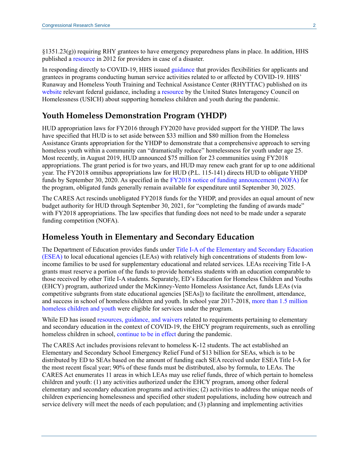$\S$ 1351.23(g)) requiring RHY grantees to have emergency preparedness plans in place. In addition, HHS published a [resource](https://www.acf.hhs.gov/fysb/resource/ready-for-anything) in 2012 for providers in case of a disaster.

In responding directly to COVID-19, HHS issued [guidance](https://www.acf.hhs.gov/sites/default/files/assets/im_acf_oa_2020_01_acf_covid_flexibilities_final_march_30_2020.pdf) that provides flexibilities for applicants and grantees in programs conducting human service activities related to or affected by COVID-19. HHS' Runaway and Homeless Youth Training and Technical Assistance Center (RHYTTAC) published on its [website](http://www.rhyttac.net/) relevant federal guidance, including a [resource](https://www.usich.gov/tools-for-action/supporting-children-and-youth-experiencing-homelessness-during-the-covid-19-outbreak-questions-to-consider) by the United States Interagency Council on Homelessness (USICH) about supporting homeless children and youth during the pandemic.

#### **Youth Homeless Demonstration Program (YHDP)**

HUD appropriation laws for FY2016 through FY2020 have provided support for the YHDP. The laws have specified that HUD is to set aside between \$33 million and \$80 million from the Homeless Assistance Grants appropriation for the YHDP to demonstrate that a comprehensive approach to serving homeless youth within a community can "dramatically reduce" homelessness for youth under age 25. Most recently, in August 2019, HUD announced \$75 million for 23 communities using FY2018 appropriations. The grant period is for two years, and HUD may renew each grant for up to one additional year. The FY2018 omnibus appropriations law for HUD [\(P.L. 115-141\)](http://www.congress.gov/cgi-lis/bdquery/R?d115:FLD002:@1(115+141)) directs HUD to obligate YHDP funds by September 30, 2020. As specified in the [FY2018 notice of funding announcement \(NOFA\)](https://files.hudexchange.info/resources/documents/FY-2018-YHDP-NOFA.pdf) for the program, obligated funds generally remain available for expenditure until September 30, 2025.

The CARES Act rescinds unobligated FY2018 funds for the YHDP, and provides an equal amount of new budget authority for HUD through September 30, 2021, for "completing the funding of awards made" with FY2018 appropriations. The law specifies that funding does not need to be made under a separate funding competition (NOFA).

#### **Homeless Youth in Elementary and Secondary Education**

The Department of Education provides funds under [Title I-A of the Elementary and Secondary Education](https://crsreports.congress.gov/product/pdf/R/R46269) (ESEA) to local educational agencies (LEAs) with relatively high concentrations of students from lowincome families to be used for supplementary educational and related services. LEAs receiving Title I-A grants must reserve a portion of the funds to provide homeless students with an education comparable to those received by other Title I-A students. Separately, ED's Education for Homeless Children and Youths (EHCY) program, authorized under the McKinney-Vento Homeless Assistance Act, funds LEAs (via competitive subgrants from state educational agencies [SEAs]) to facilitate the enrollment, attendance, and success in school of homeless children and youth. In school year 2017-2018, [more than 1.5 million](https://nche.ed.gov/wp-content/uploads/2020/01/Federal-Data-Summary-SY-15.16-to-17.18-Published-1.30.2020.pdf)  [homeless children and youth](https://nche.ed.gov/wp-content/uploads/2020/01/Federal-Data-Summary-SY-15.16-to-17.18-Published-1.30.2020.pdf) were eligible for services under the program.

While ED has issued [resources, guidance, and waivers](https://www.ed.gov/coronavirus?src=feature) related to requirements pertaining to elementary and secondary education in the context of COVID-19, the EHCY program requirements, such as enrolling homeless children in school, [continue to be in effect](https://docs.google.com/document/d/1TlteU6XatUxuX-kUlhk2BLDystQ3IlwrvBrj-qkgmS0/edit) during the pandemic.

The CARES Act includes provisions relevant to homeless K-12 students. The act established an Elementary and Secondary School Emergency Relief Fund of \$13 billion for SEAs, which is to be distributed by ED to SEAs based on the amount of funding each SEA received under ESEA Title I-A for the most recent fiscal year; 90% of these funds must be distributed, also by formula, to LEAs. The CARES Act enumerates 11 areas in which LEAs may use relief funds, three of which pertain to homeless children and youth: (1) any activities authorized under the EHCY program, among other federal elementary and secondary education programs and activities; (2) activities to address the unique needs of children experiencing homelessness and specified other student populations, including how outreach and service delivery will meet the needs of each population; and (3) planning and implementing activities